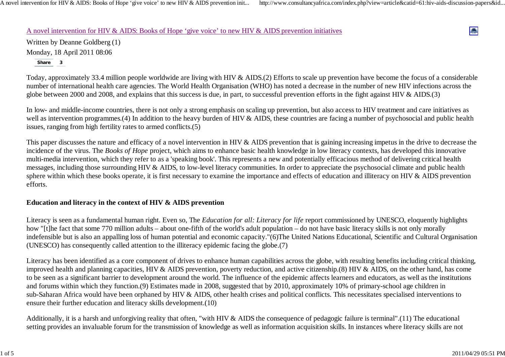A novel intervention for HIV & AIDS: Books of Hope 'give voice' to new HIV & AIDS prevention init... http://www.consultancyafrica.com/index.php?view=article&catid=61:hiv-aids-discussion-papers&id...

### A novel intervention for HIV & AIDS: Books of Hope 'give voice' to new HIV & AIDS prevention initiatives

Written by Deanne Goldberg (1) Monday, 18 April 2011 08:06 **Share 3**

Today, approximately 33.4 million people worldwide are living with HIV & AIDS.(2) Efforts to scale up prevention have become the focus of a considerable number of international health care agencies. The World Health Organisation (WHO) has noted a decrease in the number of new HIV infections across the globe between 2000 and 2008, and explains that this success is due, in part, to successful prevention efforts in the fight against HIV & AIDS.(3)

In low- and middle-income countries, there is not only a strong emphasis on scaling up prevention, but also access to HIV treatment and care initiatives as well as intervention programmes.(4) In addition to the heavy burden of HIV & AIDS, these countries are facing a number of psychosocial and public health issues, ranging from high fertility rates to armed conflicts.(5)

This paper discusses the nature and efficacy of a novel intervention in HIV & AIDS prevention that is gaining increasing impetus in the drive to decrease the incidence of the virus. The *Books of Hope* project, which aims to enhance basic health knowledge in low literacy contexts, has developed this innovative multi-media intervention, which they refer to as a 'speaking book'. This represents a new and potentially efficacious method of delivering critical health messages, including those surrounding HIV & AIDS, to low-level literacy communities. In order to appreciate the psychosocial climate and public health sphere within which these books operate, it is first necessary to examine the importance and effects of education and illiteracy on HIV & AIDS prevention efforts.

### **Education and literacy in the context of HIV & AIDS prevention**

Literacy is seen as a fundamental human right. Even so, The *Education for all: Literacy for life* report commissioned by UNESCO, eloquently highlights how "[t]he fact that some 770 million adults – about one-fifth of the world's adult population – do not have basic literacy skills is not only morally indefensible but is also an appalling loss of human potential and economic capacity."(6)The United Nations Educational, Scientific and Cultural Organisation (UNESCO) has consequently called attention to the illiteracy epidemic facing the globe.(7)

Literacy has been identified as a core component of drives to enhance human capabilities across the globe, with resulting benefits including critical thinking, improved health and planning capacities, HIV & AIDS prevention, poverty reduction, and active citizenship.(8) HIV & AIDS, on the other hand, has come to be seen as a significant barrier to development around the world. The influence of the epidemic affects learners and educators, as well as the institutions and forums within which they function.(9) Estimates made in 2008, suggested that by 2010, approximately 10% of primary-school age children in sub-Saharan Africa would have been orphaned by HIV & AIDS, other health crises and political conflicts. This necessitates specialised interventions to ensure their further education and literacy skills development.(10)

Additionally, it is a harsh and unforgiving reality that often, "with HIV & AIDS the consequence of pedagogic failure is terminal".(11) The educational setting provides an invaluable forum for the transmission of knowledge as well as information acquisition skills. In instances where literacy skills are not

e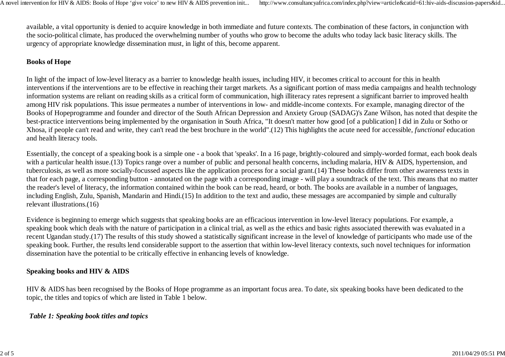available, a vital opportunity is denied to acquire knowledge in both immediate and future contexts. The combination of these factors, in conjunction with the socio-political climate, has produced the overwhelming number of youths who grow to become the adults who today lack basic literacy skills. The urgency of appropriate knowledge dissemination must, in light of this, become apparent.

# **Books of Hope**

In light of the impact of low-level literacy as a barrier to knowledge health issues, including HIV, it becomes critical to account for this in health interventions if the interventions are to be effective in reaching their target markets. As a significant portion of mass media campaigns and health technology information systems are reliant on reading skills as a critical form of communication, high illiteracy rates represent a significant barrier to improved health among HIV risk populations. This issue permeates a number of interventions in low- and middle-income contexts. For example, managing director of the Books of Hopeprogramme and founder and director of the South African Depression and Anxiety Group (SADAG)'s Zane Wilson, has noted that despite the best-practice interventions being implemented by the organisation in South Africa, "It doesn't matter how good [of a publication] I did in Zulu or Sotho or Xhosa, if people can't read and write, they can't read the best brochure in the world".(12) This highlights the acute need for accessible, *functional* education and health literacy tools.

Essentially, the concept of a speaking book is a simple one - a book that 'speaks'. In a 16 page, brightly-coloured and simply-worded format, each book deals with a particular health issue.(13) Topics range over a number of public and personal health concerns, including malaria, HIV & AIDS, hypertension, and tuberculosis, as well as more socially-focussed aspects like the application process for a social grant.(14) These books differ from other awareness texts in that for each page, a corresponding button - annotated on the page with a corresponding image - will play a soundtrack of the text. This means that no matter the reader's level of literacy, the information contained within the book can be read, heard, or both. The books are available in a number of languages, including English, Zulu, Spanish, Mandarin and Hindi.(15) In addition to the text and audio, these messages are accompanied by simple and culturally relevant illustrations.(16)

Evidence is beginning to emerge which suggests that speaking books are an efficacious intervention in low-level literacy populations. For example, a speaking book which deals with the nature of participation in a clinical trial, as well as the ethics and basic rights associated therewith was evaluated in a recent Ugandan study.(17) The results of this study showed a statistically significant increase in the level of knowledge of participants who made use of the speaking book. Further, the results lend considerable support to the assertion that within low-level literacy contexts, such novel techniques for information dissemination have the potential to be critically effective in enhancing levels of knowledge.

### **Speaking books and HIV & AIDS**

HIV & AIDS has been recognised by the Books of Hope programme as an important focus area. To date, six speaking books have been dedicated to the topic, the titles and topics of which are listed in Table 1 below.

## *Table 1: Speaking book titles and topics*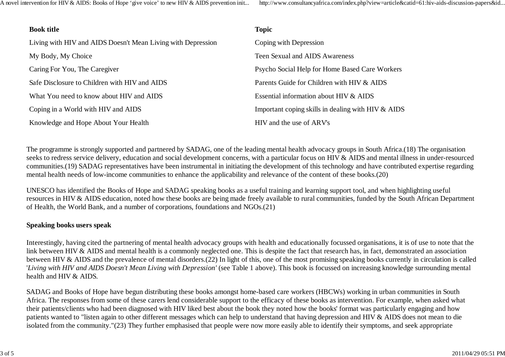A novel intervention for HIV & AIDS: Books of Hope 'give voice' to new HIV & AIDS prevention init... http://www.consultancyafrica.com/index.php?view=article&catid=61:hiv-aids-discussion-papers&id...

| <b>Book title</b>                                            | <b>Topic</b>                                         |
|--------------------------------------------------------------|------------------------------------------------------|
| Living with HIV and AIDS Doesn't Mean Living with Depression | Coping with Depression                               |
| My Body, My Choice                                           | Teen Sexual and AIDS Awareness                       |
| Caring For You, The Caregiver                                | Psycho Social Help for Home Based Care Workers       |
| Safe Disclosure to Children with HIV and AIDS                | Parents Guide for Children with HIV & AIDS           |
| What You need to know about HIV and AIDS                     | Essential information about HIV & AIDS               |
| Coping in a World with HIV and AIDS                          | Important coping skills in dealing with HIV $&$ AIDS |
| Knowledge and Hope About Your Health                         | HIV and the use of ARV's                             |

The programme is strongly supported and partnered by SADAG, one of the leading mental health advocacy groups in South Africa.(18) The organisation seeks to redress service delivery, education and social development concerns, with a particular focus on HIV & AIDS and mental illness in under-resourced communities.(19) SADAG representatives have been instrumental in initiating the development of this technology and have contributed expertise regarding mental health needs of low-income communities to enhance the applicability and relevance of the content of these books.(20)

UNESCO has identified the Books of Hope and SADAG speaking books as a useful training and learning support tool, and when highlighting useful resources in HIV & AIDS education, noted how these books are being made freely available to rural communities, funded by the South African Department of Health, the World Bank, and a number of corporations, foundations and NGOs.(21)

### **Speaking books users speak**

Interestingly, having cited the partnering of mental health advocacy groups with health and educationally focussed organisations, it is of use to note that the link between HIV & AIDS and mental health is a commonly neglected one. This is despite the fact that research has, in fact, demonstrated an association between HIV & AIDS and the prevalence of mental disorders.(22) In light of this, one of the most promising speaking books currently in circulation is called '*Living with HIV and AIDS Doesn't Mean Living with Depression'* (see Table 1 above). This book is focussed on increasing knowledge surrounding mental health and HIV & AIDS.

SADAG and Books of Hope have begun distributing these books amongst home-based care workers (HBCWs) working in urban communities in South Africa. The responses from some of these carers lend considerable support to the efficacy of these books as intervention. For example, when asked what their patients/clients who had been diagnosed with HIV liked best about the book they noted how the books' format was particularly engaging and how patients wanted to "listen again to other different messages which can help to understand that having depression and HIV & AIDS does not mean to die isolated from the community."(23) They further emphasised that people were now more easily able to identify their symptoms, and seek appropriate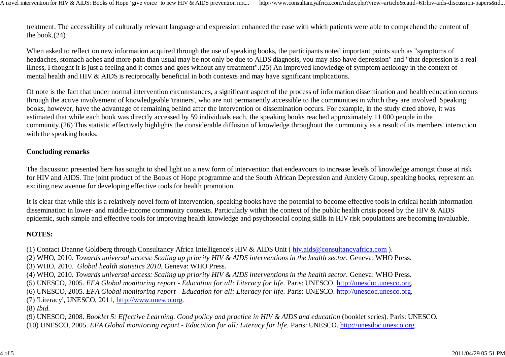treatment. The accessibility of culturally relevant language and expression enhanced the ease with which patients were able to comprehend the content of the book.(24)

When asked to reflect on new information acquired through the use of speaking books, the participants noted important points such as "symptoms of headaches, stomach aches and more pain than usual may be not only be due to AIDS diagnosis, you may also have depression" and "that depression is a real illness, I thought it is just a feeling and it comes and goes without any treatment".(25) An improved knowledge of symptom aetiology in the context of mental health and HIV & AIDS is reciprocally beneficial in both contexts and may have significant implications.

Of note is the fact that under normal intervention circumstances, a significant aspect of the process of information dissemination and health education occurs through the active involvement of knowledgeable 'trainers', who are not permanently accessible to the communities in which they are involved. Speaking books, however, have the advantage of remaining behind after the intervention or dissemination occurs. For example, in the study cited above, it was estimated that while each book was directly accessed by 59 individuals each, the speaking books reached approximately 11 000 people in the community.(26) This statistic effectively highlights the considerable diffusion of knowledge throughout the community as a result of its members' interaction with the speaking books.

### **Concluding remarks**

The discussion presented here has sought to shed light on a new form of intervention that endeavours to increase levels of knowledge amongst those at risk for HIV and AIDS. The joint product of the Books of Hope programme and the South African Depression and Anxiety Group, speaking books, represent an exciting new avenue for developing effective tools for health promotion.

It is clear that while this is a relatively novel form of intervention, speaking books have the potential to become effective tools in critical health information dissemination in lower- and middle-income community contexts. Particularly within the context of the public health crisis posed by the HIV & AIDS epidemic, such simple and effective tools for improving health knowledge and psychosocial coping skills in HIV risk populations are becoming invaluable.

### **NOTES:**

(1) Contact Deanne Goldberg through Consultancy Africa Intelligence's HIV & AIDS Unit ( hiv.aids@consultancyafrica.com ).

(2) WHO, 2010. *Towards universal access: Scaling up priority HIV & AIDS interventions in the health sector.* Geneva: WHO Press.

(3) WHO, 2010. *Global health statistics 2010.* Geneva: WHO Press.

- (4) WHO, 2010. *Towards universal access: Scaling up priority HIV & AIDS interventions in the health sector.* Geneva: WHO Press.
- (5) UNESCO, 2005. *EFA Global monitoring report Education for all: Literacy for life.* Paris: UNESCO. http://unesdoc.unesco.org.

(6) UNESCO, 2005. *EFA Global monitoring report - Education for all: Literacy for life.* Paris: UNESCO. http://unesdoc.unesco.org.

(7) 'Literacy', UNESCO, 2011, http://www.unesco.org.

(8) *Ibid.*

(9) UNESCO, 2008. *Booklet 5: Effective Learning. Good policy and practice in HIV & AIDS and education* (booklet series). Paris: UNESCO. (10) UNESCO, 2005. *EFA Global monitoring report - Education for all: Literacy for life.* Paris: UNESCO. http://unesdoc.unesco.org.